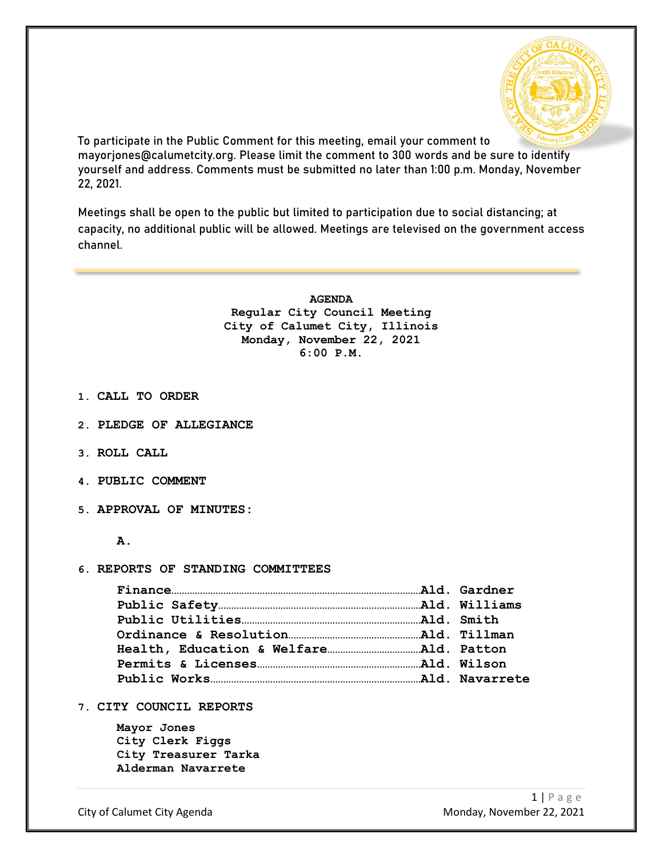

To participate in the Public Comment for this meeting, email your comment to mayorjones@calumetcity.org. Please limit the comment to 300 words and be sure to identify yourself and address. Comments must be submitted no later than 1:00 p.m. Monday, November 22, 2021.

Meetings shall be open to the public but limited to participation due to social distancing; at capacity, no additional public will be allowed. Meetings are televised on the government access channel.

> **AGENDA Regular City Council Meeting City of Calumet City, Illinois Monday, November 22, 2021 6:00 P.M.**

- **1. CALL TO ORDER**
- **2. PLEDGE OF ALLEGIANCE**
- **3. ROLL CALL**
- **4. PUBLIC COMMENT**
- **5. APPROVAL OF MINUTES:**
	- **A.**

#### **6. REPORTS OF STANDING COMMITTEES**

**7. CITY COUNCIL REPORTS**

**Mayor Jones City Clerk Figgs City Treasurer Tarka Alderman Navarrete**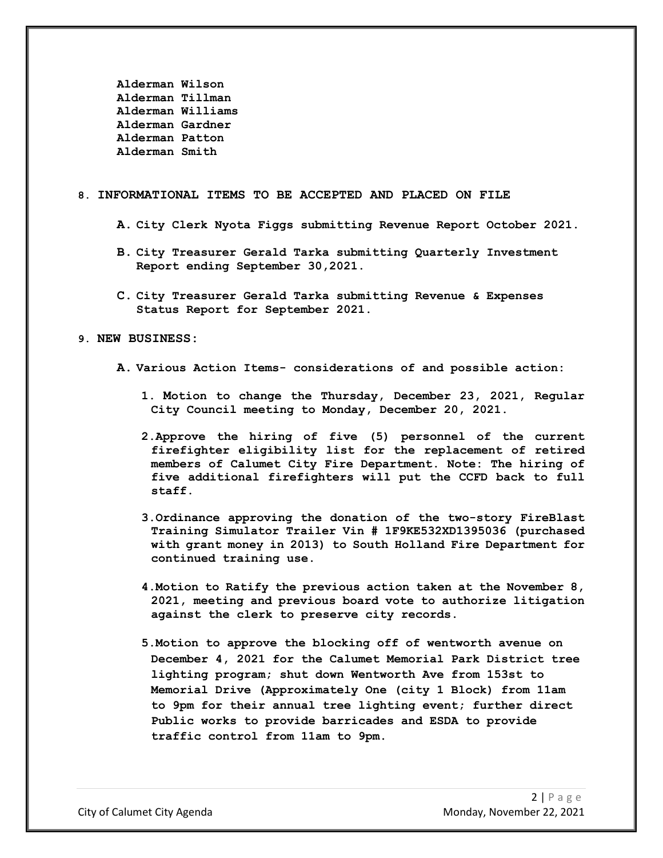**Alderman Wilson Alderman Tillman Alderman Williams Alderman Gardner Alderman Patton Alderman Smith**

#### **8. INFORMATIONAL ITEMS TO BE ACCEPTED AND PLACED ON FILE**

- **A. City Clerk Nyota Figgs submitting Revenue Report October 2021.**
- **B. City Treasurer Gerald Tarka submitting Quarterly Investment Report ending September 30,2021.**
- **C. City Treasurer Gerald Tarka submitting Revenue & Expenses Status Report for September 2021.**

### **9. NEW BUSINESS:**

- **A. Various Action Items- considerations of and possible action:**
	- **1. Motion to change the Thursday, December 23, 2021, Regular City Council meeting to Monday, December 20, 2021.**
	- **2.Approve the hiring of five (5) personnel of the current firefighter eligibility list for the replacement of retired members of Calumet City Fire Department. Note: The hiring of five additional firefighters will put the CCFD back to full staff.**
	- **3.Ordinance approving the donation of the two-story FireBlast Training Simulator Trailer Vin # 1F9KE532XD1395036 (purchased with grant money in 2013) to South Holland Fire Department for continued training use.**
	- **4.Motion to Ratify the previous action taken at the November 8, 2021, meeting and previous board vote to authorize litigation against the clerk to preserve city records.**
	- **5.Motion to approve the blocking off of wentworth avenue on December 4, 2021 for the Calumet Memorial Park District tree lighting program; shut down Wentworth Ave from 153st to Memorial Drive (Approximately One (city 1 Block) from 11am to 9pm for their annual tree lighting event; further direct Public works to provide barricades and ESDA to provide traffic control from 11am to 9pm.**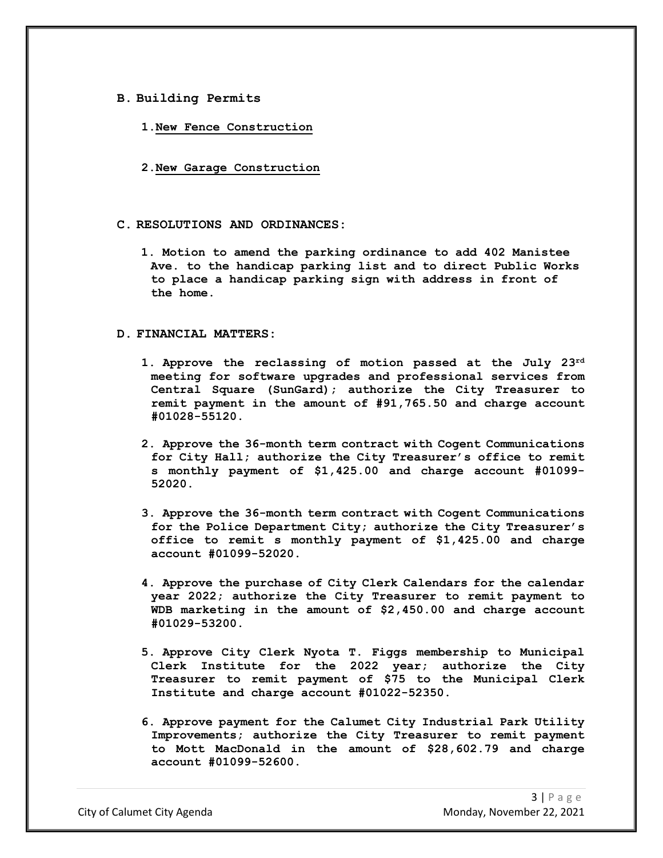#### **B. Building Permits**

- **1.New Fence Construction**
- **2.New Garage Construction**

## **C. RESOLUTIONS AND ORDINANCES:**

**1. Motion to amend the parking ordinance to add 402 Manistee Ave. to the handicap parking list and to direct Public Works to place a handicap parking sign with address in front of the home.**

#### **D. FINANCIAL MATTERS:**

- **1. Approve the reclassing of motion passed at the July 23rd meeting for software upgrades and professional services from Central Square (SunGard); authorize the City Treasurer to remit payment in the amount of #91,765.50 and charge account #01028-55120.**
- **2. Approve the 36-month term contract with Cogent Communications for City Hall; authorize the City Treasurer's office to remit s monthly payment of \$1,425.00 and charge account #01099- 52020.**
- **3. Approve the 36-month term contract with Cogent Communications for the Police Department City; authorize the City Treasurer's office to remit s monthly payment of \$1,425.00 and charge account #01099-52020.**
- **4. Approve the purchase of City Clerk Calendars for the calendar year 2022; authorize the City Treasurer to remit payment to WDB marketing in the amount of \$2,450.00 and charge account #01029-53200.**
- **5. Approve City Clerk Nyota T. Figgs membership to Municipal Clerk Institute for the 2022 year; authorize the City Treasurer to remit payment of \$75 to the Municipal Clerk Institute and charge account #01022-52350.**
- **6. Approve payment for the Calumet City Industrial Park Utility Improvements; authorize the City Treasurer to remit payment to Mott MacDonald in the amount of \$28,602.79 and charge account #01099-52600.**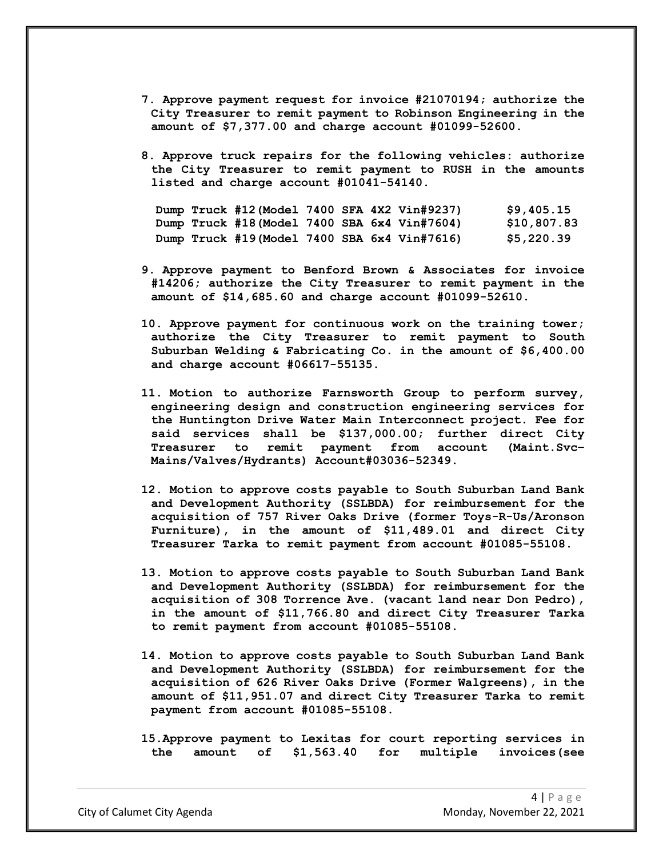- **7. Approve payment request for invoice #21070194; authorize the City Treasurer to remit payment to Robinson Engineering in the amount of \$7,377.00 and charge account #01099-52600.**
- **8. Approve truck repairs for the following vehicles: authorize the City Treasurer to remit payment to RUSH in the amounts listed and charge account #01041-54140.**

|  | Dump Truck #12 (Model 7400 SFA 4X2 Vin#9237) |  |  | \$9,405.15  |
|--|----------------------------------------------|--|--|-------------|
|  | Dump Truck #18(Model 7400 SBA 6x4 Vin#7604)  |  |  | \$10,807.83 |
|  | Dump Truck #19(Model 7400 SBA 6x4 Vin#7616)  |  |  | \$5,220.39  |

- **9. Approve payment to Benford Brown & Associates for invoice #14206; authorize the City Treasurer to remit payment in the amount of \$14,685.60 and charge account #01099-52610.**
- **10. Approve payment for continuous work on the training tower; authorize the City Treasurer to remit payment to South Suburban Welding & Fabricating Co. in the amount of \$6,400.00 and charge account #06617-55135.**
- **11. Motion to authorize Farnsworth Group to perform survey, engineering design and construction engineering services for the Huntington Drive Water Main Interconnect project. Fee for said services shall be \$137,000.00; further direct City Treasurer to remit payment from account (Maint.Svc– Mains/Valves/Hydrants) Account#03036-52349.**
- **12. Motion to approve costs payable to South Suburban Land Bank and Development Authority (SSLBDA) for reimbursement for the acquisition of 757 River Oaks Drive (former Toys-R-Us/Aronson Furniture), in the amount of \$11,489.01 and direct City Treasurer Tarka to remit payment from account #01085-55108.**
- **13. Motion to approve costs payable to South Suburban Land Bank and Development Authority (SSLBDA) for reimbursement for the acquisition of 308 Torrence Ave. (vacant land near Don Pedro), in the amount of \$11,766.80 and direct City Treasurer Tarka to remit payment from account #01085-55108.**
- **14. Motion to approve costs payable to South Suburban Land Bank and Development Authority (SSLBDA) for reimbursement for the acquisition of 626 River Oaks Drive (Former Walgreens), in the amount of \$11,951.07 and direct City Treasurer Tarka to remit payment from account #01085-55108.**
- **15.Approve payment to Lexitas for court reporting services in the amount of \$1,563.40 for multiple invoices(see**